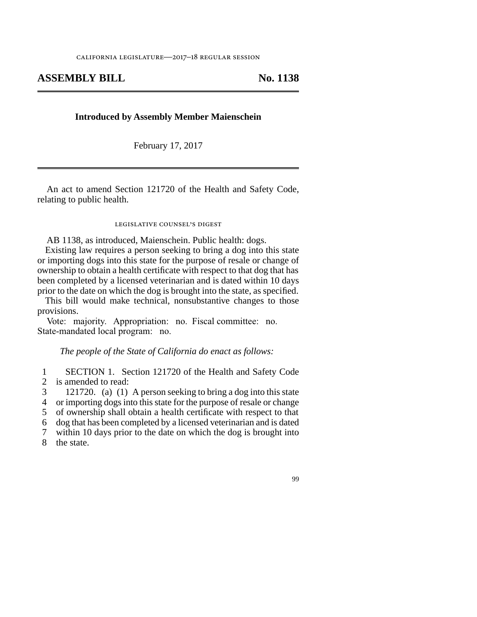# **ASSEMBLY BILL No. 1138**

## **Introduced by Assembly Member Maienschein**

February 17, 2017

An act to amend Section 121720 of the Health and Safety Code, relating to public health.

#### legislative counsel's digest

AB 1138, as introduced, Maienschein. Public health: dogs.

Existing law requires a person seeking to bring a dog into this state or importing dogs into this state for the purpose of resale or change of ownership to obtain a health certificate with respect to that dog that has been completed by a licensed veterinarian and is dated within 10 days prior to the date on which the dog is brought into the state, as specified.

This bill would make technical, nonsubstantive changes to those provisions.

Vote: majority. Appropriation: no. Fiscal committee: no. State-mandated local program: no.

## *The people of the State of California do enact as follows:*

1 SECTION 1. Section 121720 of the Health and Safety Code<br>2 is amended to read: is amended to read:

 line 3 121720. (a) (1) A person seeking to bring a dog into this state 4 or importing dogs into this state for the purpose of resale or change 5 of ownership shall obtain a health certificate with respect to that line 6 dog that has been completed by a licensed veterinarian and is dated

7 within 10 days prior to the date on which the dog is brought into

8 the state.

### 99